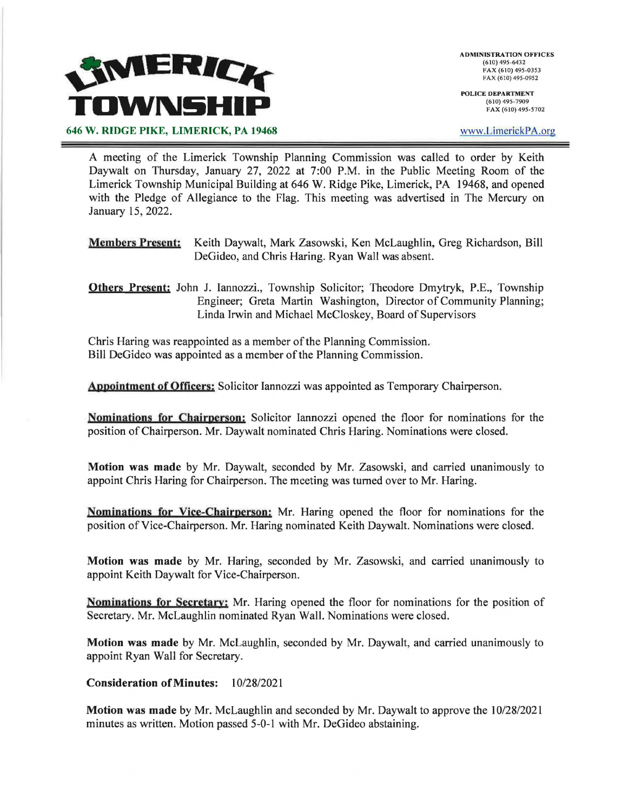

**POLICE DEPARTMENT**  (610) 495-7909 FAX (610) 495-5702

www.LimerickPA.org

646 W. RIDGE PIKE, LIMERICK, PA 19468

A meeting of the Limerick Township Planning Commission was called to order by Keith Daywalt on Thursday, January 27, 2022 at 7:00 P.M. in the Public Meeting Room of the Limerick Township Municipal Building at 646 W. Ridge Pike, Limerick, PA 19468, and opened with the Pledge of Allegiance to the Flag. This meeting was advertised in The Mercury on January 15, 2022.

- **Members Present;** Keith Daywalt, Mark Zasowski, Ken McLaughlin, Greg Richardson, Bill DeGideo, and Chris Haring. Ryan Wall was absent.
- **Others Present:** John J. lannozzi., Township Solicitor; Theodore Dmytryk, P.E., Township Engineer; Greta Martin Washington, Director of Community Planning; Linda Irwin and Michael Mccloskey, Board of Supervisors

Chris Haring was reappointed as a member of the Planning Commission. Bill DeGideo was appointed as a member of the Planning Commission.

**Appojntment of Officers;** Solicitor Iannozzi was appointed as Temporary Chairperson.

**Nomipations for Chairperson;** Solicitor Iannozzi opened the floor for nominations for the position of Chairperson. Mr. Daywalt nominated Chris Haring. Nominations were closed.

**Motion was made** by Mr. Daywalt, seconded by Mr. Zasowski, and carried unanimously to appoint Chris Haring for Chairperson. The meeting was turned over to Mr. Haring.

**Nomipations for Vice-Chajrperson;** Mr. Haring opened the floor for nominations for the position of Vice-Chairperson. Mr. Haring nominated Keith Daywalt. Nominations were closed.

**Motion was made** by Mr. Haring, seconded by Mr. Zasowski, and carried unanimously to appoint Keith Daywalt for Vice-Chairperson.

**Nominations for Secretary;** Mr. Haring opened the floor for nominations for the position of Secretary. Mr. McLaughlin nominated Ryan Wall. Nominations were closed.

**Motion was made** by Mr. McLaughlin, seconded by Mr. Daywalt, and carried unanimously to appoint Ryan Wall for Secretary.

**Consideration of Minutes:** 10/28/2021

**Motion was made** by Mr. McLaughlin and seconded by Mr. Daywalt to approve the 10/28/2021 minutes as written. Motion passed 5-0-1 with Mr. DeGideo abstaining.